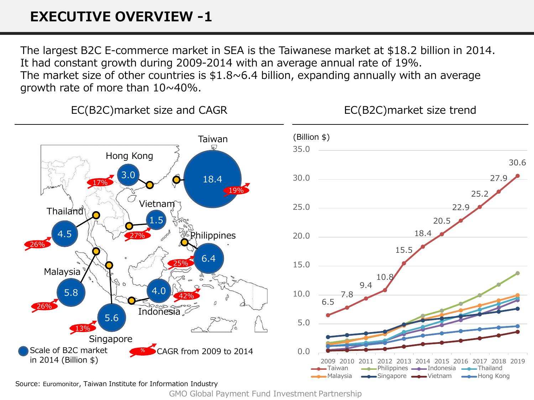# **EXECUTIVE OVERVIEW -1**

The largest B2C E-commerce market in SEA is the Taiwanese market at \$18.2 billion in 2014. It had constant growth during 2009-2014 with an average annual rate of 19%. The market size of other countries is  $$1.8~6.4$  billion, expanding annually with an average growth rate of more than 10~40%.

EC(B2C)market size and CAGR

EC(B2C)market size trend



Source: Euromonitor, Taiwan Institute for Information Industry

GMO Global Payment Fund Investment Partnership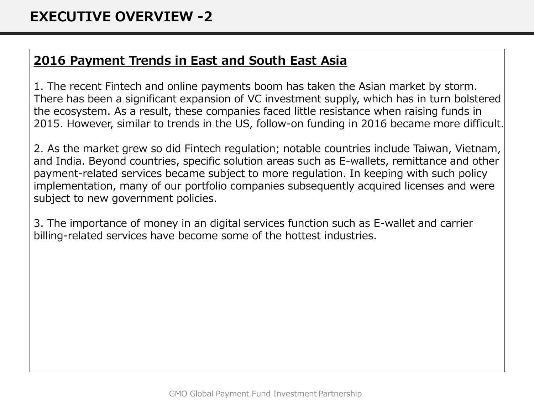## **2016 Payment Trends in East and South East Asia**

1. The recent Fintech and online payments boom has taken the Asian market by storm. There has been a significant expansion of VC investment supply, which has in turn bolstered the ecosystem. As a result, these companies faced little resistance when raising funds in 2015. However, similar to trends in the US, follow-on funding in 2016 became more difficult.

2. As the market grew so did Fintech regulation; notable countries include Taiwan, Vietnam, and India. Beyond countries, specific solution areas such as E-wallets, remittance and other payment-related services became subject to more regulation. In keeping with such policy implementation, many of our portfolio companies subsequently acquired licenses and were subject to new government policies.

3. The importance of money in an digital services function such as E-wallet and carrier billing-related services have become some of the hottest industries.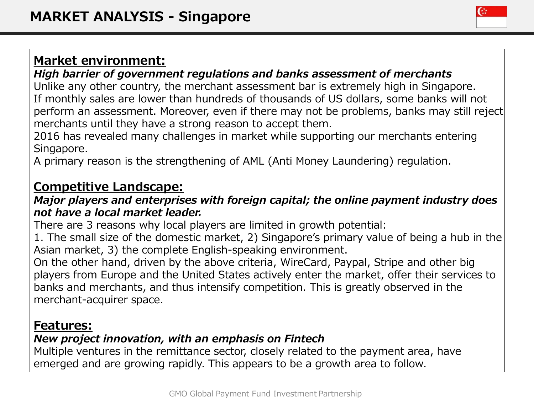### *High barrier of government regulations and banks assessment of merchants*

Unlike any other country, the merchant assessment bar is extremely high in Singapore. If monthly sales are lower than hundreds of thousands of US dollars, some banks will not perform an assessment. Moreover, even if there may not be problems, banks may still reject merchants until they have a strong reason to accept them.

2016 has revealed many challenges in market while supporting our merchants entering Singapore.

A primary reason is the strengthening of AML (Anti Money Laundering) regulation.

# **Competitive Landscape:**

#### *Major players and enterprises with foreign capital; the online payment industry does not have a local market leader.*

There are 3 reasons why local players are limited in growth potential:

1. The small size of the domestic market, 2) Singapore's primary value of being a hub in the Asian market, 3) the complete English-speaking environment.

On the other hand, driven by the above criteria, WireCard, Paypal, Stripe and other big players from Europe and the United States actively enter the market, offer their services to banks and merchants, and thus intensify competition. This is greatly observed in the merchant-acquirer space.

## **Features:**

### *New project innovation, with an emphasis on Fintech*

Multiple ventures in the remittance sector, closely related to the payment area, have emerged and are growing rapidly. This appears to be a growth area to follow.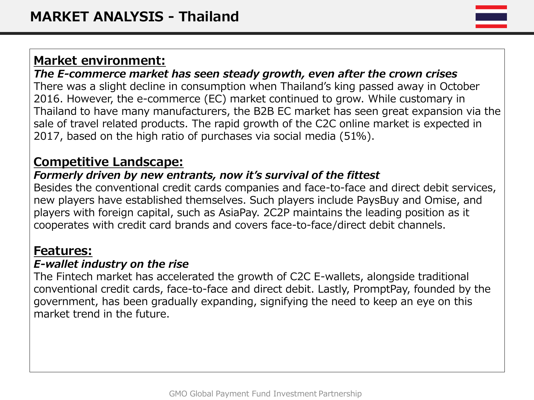*The E-commerce market has seen steady growth, even after the crown crises* There was a slight decline in consumption when Thailand's king passed away in October 2016. However, the e-commerce (EC) market continued to grow. While customary in Thailand to have many manufacturers, the B2B EC market has seen great expansion via the sale of travel related products. The rapid growth of the C2C online market is expected in 2017, based on the high ratio of purchases via social media (51%).

# **Competitive Landscape:**

## *Formerly driven by new entrants, now it's survival of the fittest*

Besides the conventional credit cards companies and face-to-face and direct debit services, new players have established themselves. Such players include PaysBuy and Omise, and players with foreign capital, such as AsiaPay. 2C2P maintains the leading position as it cooperates with credit card brands and covers face-to-face/direct debit channels.

## **Features:**

#### *E-wallet industry on the rise*

The Fintech market has accelerated the growth of C2C E-wallets, alongside traditional conventional credit cards, face-to-face and direct debit. Lastly, PromptPay, founded by the government, has been gradually expanding, signifying the need to keep an eye on this market trend in the future.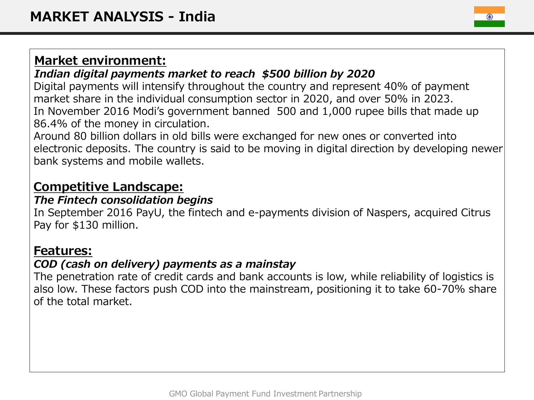### *Indian digital payments market to reach \$500 billion by 2020*

Digital payments will intensify throughout the country and represent 40% of payment market share in the individual consumption sector in 2020, and over 50% in 2023. In November 2016 Modi's government banned 500 and 1,000 rupee bills that made up 86.4% of the money in circulation.

Around 80 billion dollars in old bills were exchanged for new ones or converted into electronic deposits. The country is said to be moving in digital direction by developing newer bank systems and mobile wallets.

# **Competitive Landscape:**

### *The Fintech consolidation begins*

In September 2016 PayU, the fintech and e-payments division of Naspers, acquired Citrus Pay for \$130 million.

### **Features:**

### *COD (cash on delivery) payments as a mainstay*

The penetration rate of credit cards and bank accounts is low, while reliability of logistics is also low. These factors push COD into the mainstream, positioning it to take 60-70% share of the total market.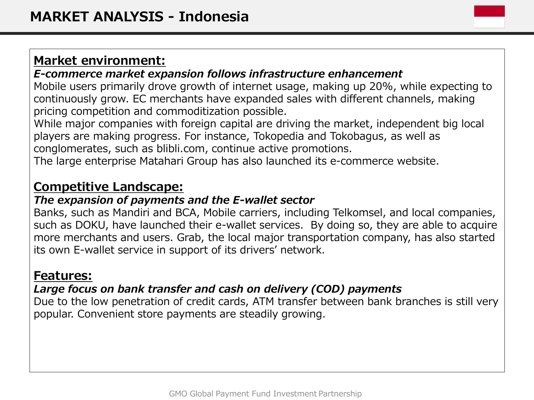#### *E-commerce market expansion follows infrastructure enhancement*

Mobile users primarily drove growth of internet usage, making up 20%, while expecting to continuously grow. EC merchants have expanded sales with different channels, making pricing competition and commoditization possible.

While major companies with foreign capital are driving the market, independent big local players are making progress. For instance, Tokopedia and Tokobagus, as well as conglomerates, such as blibli.com, continue active promotions.

The large enterprise Matahari Group has also launched its e-commerce website.

## **Competitive Landscape:**

#### *The expansion of payments and the E-wallet sector*

Banks, such as Mandiri and BCA, Mobile carriers, including Telkomsel, and local companies, such as DOKU, have launched their e-wallet services. By doing so, they are able to acquire more merchants and users. Grab, the local major transportation company, has also started its own E-wallet service in support of its drivers' network.

### **Features:**

### *Large focus on bank transfer and cash on delivery (COD) payments*

Due to the low penetration of credit cards, ATM transfer between bank branches is still very popular. Convenient store payments are steadily growing.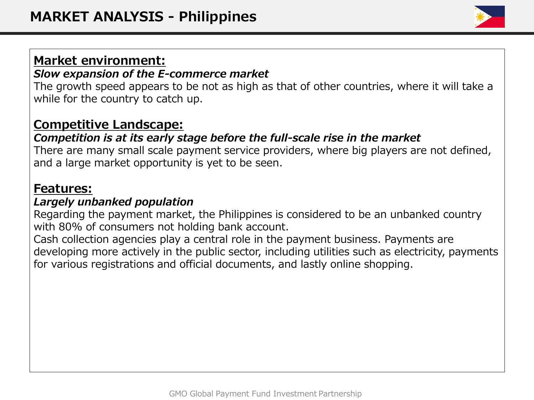#### *Slow expansion of the E-commerce market*

The growth speed appears to be not as high as that of other countries, where it will take a while for the country to catch up.

## **Competitive Landscape:**

### *Competition is at its early stage before the full-scale rise in the market*

There are many small scale payment service providers, where big players are not defined, and a large market opportunity is yet to be seen.

### **Features:**

#### *Largely unbanked population*

Regarding the payment market, the Philippines is considered to be an unbanked country with 80% of consumers not holding bank account.

Cash collection agencies play a central role in the payment business. Payments are developing more actively in the public sector, including utilities such as electricity, payments for various registrations and official documents, and lastly online shopping.

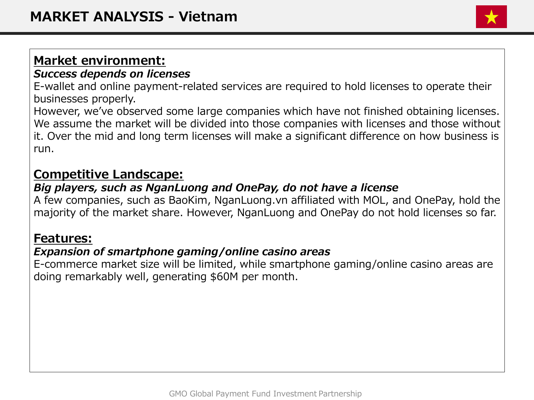#### *Success depends on licenses*

E-wallet and online payment-related services are required to hold licenses to operate their businesses properly.

However, we've observed some large companies which have not finished obtaining licenses. We assume the market will be divided into those companies with licenses and those without it. Over the mid and long term licenses will make a significant difference on how business is run.

## **Competitive Landscape:**

#### *Big players, such as NganLuong and OnePay, do not have a license*

A few companies, such as BaoKim, NganLuong.vn affiliated with MOL, and OnePay, hold the majority of the market share. However, NganLuong and OnePay do not hold licenses so far.

### **Features:**

#### *Expansion of smartphone gaming/online casino areas*

E-commerce market size will be limited, while smartphone gaming/online casino areas are doing remarkably well, generating \$60M per month.